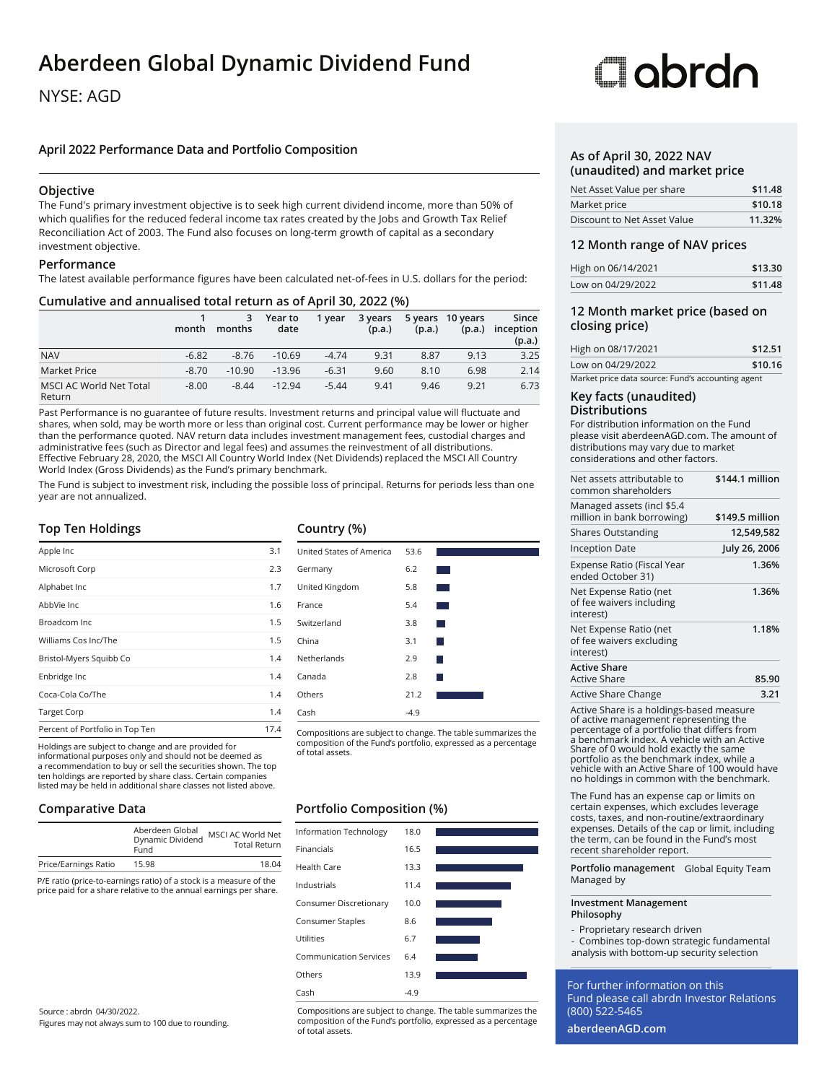# **Aberdeen Global Dynamic Dividend Fund**

# NYSE: AGD

# **April 2022 Performance Data and Portfolio Composition**

# **Objective**

The Fund's primary investment objective is to seek high current dividend income, more than 50% of which qualifies for the reduced federal income tax rates created by the Jobs and Growth Tax Relief Reconciliation Act of 2003. The Fund also focuses on long-term growth of capital as a secondary investment objective.

# **Performance**

The latest available performance figures have been calculated net-of-fees in U.S. dollars for the period:

# **Cumulative and annualised total return as of April 30, 2022 (%)**

|                                          | month   | 3<br>months | Year to<br>date | 1 year  | 3 years<br>(p.a.) | (p.a.) | 5 years 10 years<br>(p.a.) | Since<br>inception<br>(p.a.) |
|------------------------------------------|---------|-------------|-----------------|---------|-------------------|--------|----------------------------|------------------------------|
| <b>NAV</b>                               | $-6.82$ | $-8.76$     | $-10.69$        | $-4.74$ | 9.31              | 8.87   | 9.13                       | 3.25                         |
| Market Price                             | $-8.70$ | $-10.90$    | $-13.96$        | $-6.31$ | 9.60              | 8.10   | 6.98                       | 2.14                         |
| <b>MSCI AC World Net Total</b><br>Return | $-8.00$ | $-8.44$     | $-12.94$        | $-5.44$ | 9.41              | 9.46   | 9.21                       | 6.73                         |

Past Performance is no guarantee of future results. Investment returns and principal value will fluctuate and shares, when sold, may be worth more or less than original cost. Current performance may be lower or higher than the performance quoted. NAV return data includes investment management fees, custodial charges and administrative fees (such as Director and legal fees) and assumes the reinvestment of all distributions. Effective February 28, 2020, the MSCI All Country World Index (Net Dividends) replaced the MSCI All Country World Index (Gross Dividends) as the Fund's primary benchmark.

The Fund is subject to investment risk, including the possible loss of principal. Returns for periods less than one year are not annualized.

# **Top Ten Holdings**

| Apple Inc                       | 3.1  |
|---------------------------------|------|
| Microsoft Corp                  | 2.3  |
| Alphabet Inc                    | 1.7  |
| AbbVie Inc                      | 1.6  |
| Broadcom Inc                    | 1.5  |
| Williams Cos Inc/The            | 1.5  |
| Bristol-Myers Squibb Co         | 1.4  |
| Enbridge Inc                    | 1.4  |
| Coca-Cola Co/The                | 1.4  |
| <b>Target Corp</b>              | 1.4  |
| Percent of Portfolio in Top Ten | 17.4 |

Holdings are subject to change and are provided for informational purposes only and should not be deemed as a recommendation to buy or sell the securities shown. The top ten holdings are reported by share class. Certain companies listed may be held in additional share classes not listed above.

# **Comparative Data**

|                      | Aberdeen Global<br>Dynamic Dividend<br>Fund | MSCI AC World Net<br><b>Total Return</b> |
|----------------------|---------------------------------------------|------------------------------------------|
| Price/Earnings Ratio | 15.98                                       | 18.04                                    |

P/E ratio (price-to-earnings ratio) of a stock is a measure of the price paid for a share relative to the annual earnings per share.

#### Source : abrdn 04/30/2022. Figures may not always sum to 100 due to rounding.

# **Country (%)**



Compositions are subject to change. The table summarizes the composition of the Fund's portfolio, expressed as a percentage

# **Portfolio Composition (%)**



Compositions are subject to change. The table summarizes the composition of the Fund's portfolio, expressed as a percentage of total assets.

# **Clabrdn**

#### **As of April 30, 2022 NAV (unaudited) and market price**

| Net Asset Value per share   | \$11.48 |  |
|-----------------------------|---------|--|
| Market price                | \$10.18 |  |
| Discount to Net Asset Value | 11.32%  |  |

#### **12 Month range of NAV prices**

| High on 06/14/2021 | \$13.30 |
|--------------------|---------|
| Low on 04/29/2022  | \$11.48 |

# **12 Month market price (based on closing price)**

| High on 08/17/2021                                | \$12.51 |
|---------------------------------------------------|---------|
| Low on 04/29/2022                                 | \$10.16 |
| Market price data source: Fund's accounting agent |         |

#### **Key facts (unaudited) Distributions**

For distribution information on the Fund please visit aberdeenAGD.com. The amount of distributions may vary due to market considerations and other factors.

| Net assets attributable to<br>common shareholders               | \$144.1 million |
|-----------------------------------------------------------------|-----------------|
| Managed assets (incl \$5.4<br>million in bank borrowing)        | \$149.5 million |
| <b>Shares Outstanding</b>                                       | 12,549,582      |
| Inception Date                                                  | July 26, 2006   |
| Expense Ratio (Fiscal Year<br>ended October 31)                 | 1.36%           |
| Net Expense Ratio (net<br>of fee waivers including<br>interest) | 1.36%           |
| Net Expense Ratio (net<br>of fee waivers excluding<br>interest) | 1.18%           |
| <b>Active Share</b><br><b>Active Share</b>                      | 85.90           |
| <b>Active Share Change</b>                                      | 3.21            |

Active Share is a holdings-based measure of active management representing the percentage of a portfolio that differs from a benchmark index. A vehicle with an Active Share of 0 would hold exactly the same portfolio as the benchmark index, while a vehicle with an Active Share of 100 would have no holdings in common with the benchmark.

The Fund has an expense cap or limits on certain expenses, which excludes leverage costs, taxes, and non-routine/extraordinary expenses. Details of the cap or limit, including the term, can be found in the Fund's most recent shareholder report.

**Portfolio management** Global Equity Team Managed by

#### **Investment Management Philosophy**

- Proprietary research driven
- Combines top-down strategic fundamental analysis with bottom-up security selection

For further information on this Fund please call abrdn Investor Relations (800) 522-5465

**aberdeenAGD.com**